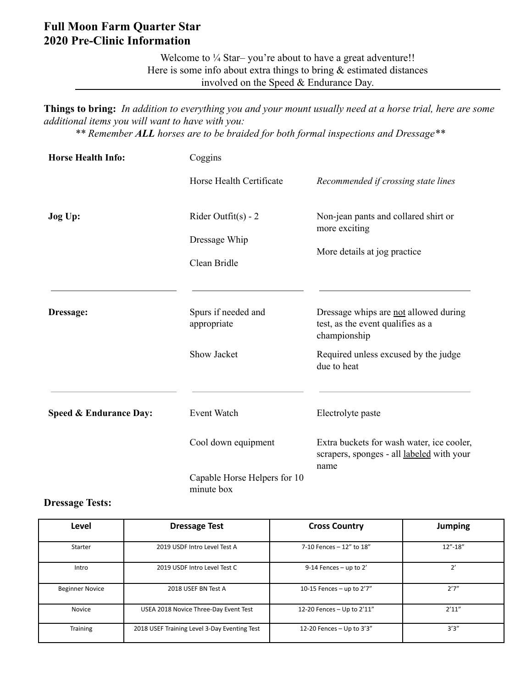#### **Full Moon Farm Quarter Star 2020 Pre-Clinic Information**

Welcome to ¼ Star–you're about to have a great adventure!! Here is some info about extra things to bring & estimated distances involved on the Speed & Endurance Day.

**Things to bring:** *In addition to everything you and your mount usually need at a horse trial, here are some additional items you will want to have with you: \*\* Remember ALL horses are to be braided for both formal inspections and Dressage\*\**

| <b>Horse Health Info:</b> | Coggins                                                |                                                                                                |  |
|---------------------------|--------------------------------------------------------|------------------------------------------------------------------------------------------------|--|
|                           | Horse Health Certificate                               | Recommended if crossing state lines                                                            |  |
| Jog Up:                   | Rider Outfit(s) - $2$<br>Dressage Whip<br>Clean Bridle | Non-jean pants and collared shirt or<br>more exciting<br>More details at jog practice          |  |
| Dressage:                 | Spurs if needed and<br>appropriate                     | Dressage whips are not allowed during<br>test, as the event qualifies as a<br>championship     |  |
|                           | Show Jacket                                            | Required unless excused by the judge<br>due to heat                                            |  |
| Speed & Endurance Day:    | Event Watch                                            | Electrolyte paste                                                                              |  |
|                           | Cool down equipment                                    | Extra buckets for wash water, ice cooler,<br>scrapers, sponges - all labeled with your<br>name |  |
|                           | Capable Horse Helpers for 10<br>minute box             |                                                                                                |  |

#### **Dressage Tests:**

| Level                  | <b>Dressage Test</b>                         | <b>Cross Country</b>         | <b>Jumping</b> |
|------------------------|----------------------------------------------|------------------------------|----------------|
| Starter                | 2019 USDF Intro Level Test A                 | 7-10 Fences - 12" to 18"     | $12" - 18"$    |
| Intro                  | 2019 USDF Intro Level Test C                 | $9-14$ Fences - up to 2'     | 2'             |
| <b>Beginner Novice</b> | 2018 USEF BN Test A                          | 10-15 Fences - up to $2'7''$ | 2'7''          |
| Novice                 | USEA 2018 Novice Three-Day Event Test        | 12-20 Fences - Up to 2'11"   | 2'11''         |
| <b>Training</b>        | 2018 USEF Training Level 3-Day Eventing Test | 12-20 Fences $-$ Up to 3'3"  | 3'3''          |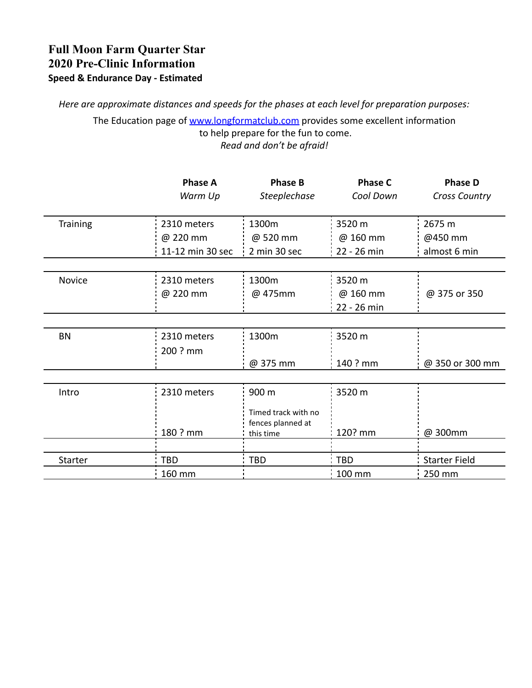### **Full Moon Farm Quarter Star 2020 Pre-Clinic Information Speed & Endurance Day - Estimated**

*Here are approximate distances and speeds for the phases at each level for preparation purposes:*

The Education page of [www.longformatclub.com](http://www.longformatclub.com) provides some excellent information to help prepare for the fun to come. *Read and don't be afraid!*

|                | <b>Phase A</b><br>Warm Up | <b>Phase B</b><br><b>Steeplechase</b>                 | <b>Phase C</b><br>Cool Down | <b>Phase D</b><br>Cross Country |
|----------------|---------------------------|-------------------------------------------------------|-----------------------------|---------------------------------|
| Training       | 2310 meters               | 1300m                                                 | 3520 m                      | 2675 m                          |
|                | @ 220 mm                  | @ 520 mm                                              | @ 160 mm                    | @450 mm                         |
|                | 11-12 min 30 sec          | 2 min 30 sec                                          | $22 - 26$ min               | almost 6 min                    |
|                |                           |                                                       |                             |                                 |
| Novice         | 2310 meters               | 1300m                                                 | 3520 m                      |                                 |
|                | @ 220 mm                  | @ 475mm                                               | @ 160 mm                    | @ 375 or 350                    |
|                |                           |                                                       | 22 - 26 min                 |                                 |
|                |                           |                                                       |                             |                                 |
| <b>BN</b>      | 2310 meters               | 1300m                                                 | 3520 m                      |                                 |
|                | 200 ? mm                  |                                                       |                             |                                 |
|                |                           | @ 375 mm                                              | 140 ? mm                    | @ 350 or 300 mm                 |
|                |                           |                                                       |                             |                                 |
| Intro          | 2310 meters               | 900 m                                                 | 3520 m                      |                                 |
|                | 180 ? mm                  | Timed track with no<br>fences planned at<br>this time | 120? mm                     | @ 300mm                         |
|                |                           |                                                       |                             |                                 |
| <b>Starter</b> | <b>TBD</b>                | <b>TBD</b>                                            | TBD                         | <b>Starter Field</b>            |
|                | 160 mm                    |                                                       | 100 mm                      | 250 mm                          |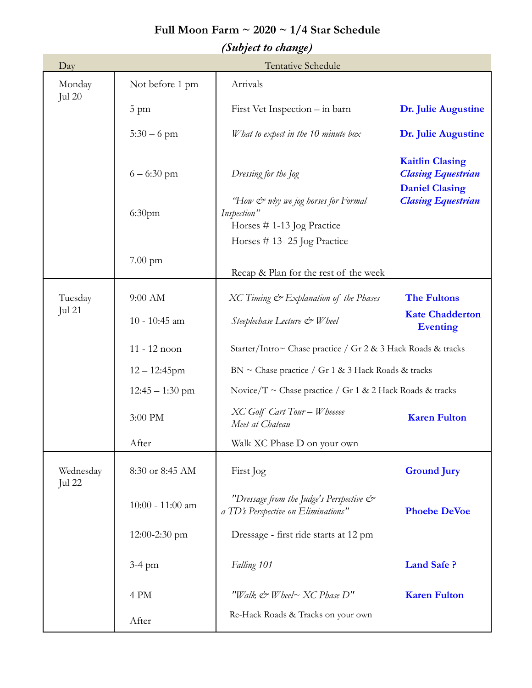# **Full Moon Farm ~ 2020 ~ 1/4 Star Schedule**

## *(Subject to change)*

| Day                 |                    | <b>Tentative Schedule</b>                                                        |                                                                              |
|---------------------|--------------------|----------------------------------------------------------------------------------|------------------------------------------------------------------------------|
| Monday<br>Jul $20$  | Not before 1 pm    | Arrivals                                                                         |                                                                              |
|                     | 5 pm               | First Vet Inspection – in barn                                                   | Dr. Julie Augustine                                                          |
|                     | $5:30 - 6$ pm      | W hat to expect in the 10 minute box                                             | Dr. Julie Augustine                                                          |
|                     | $6 - 6:30$ pm      | Dressing for the Jog                                                             | <b>Kaitlin Clasing</b><br><b>Clasing Equestrian</b><br><b>Daniel Clasing</b> |
|                     | 6:30 <sub>pm</sub> | "How & why we jog horses for Formal<br>Inspection"<br>Horses # 1-13 Jog Practice | <b>Clasing Equestrian</b>                                                    |
|                     |                    | Horses $# 13 - 25$ Jog Practice                                                  |                                                                              |
|                     | $7.00 \text{ pm}$  | Recap & Plan for the rest of the week                                            |                                                                              |
| Tuesday<br>Jul 21   | 9:00 AM            | XC Timing & Explanation of the Phases                                            | <b>The Fultons</b>                                                           |
|                     | 10 - 10:45 am      | Steeplechase Lecture & Wheel                                                     | <b>Kate Chadderton</b><br><b>Eventing</b>                                    |
|                     | 11 - 12 noon       | Starter/Intro~ Chase practice / Gr 2 & 3 Hack Roads & tracks                     |                                                                              |
|                     | $12 - 12:45$ pm    | $BN \sim$ Chase practice / Gr 1 & 3 Hack Roads & tracks                          |                                                                              |
| $12:45 - 1:30$ pm   |                    | Novice/T ~ Chase practice / Gr 1 & 2 Hack Roads & tracks                         |                                                                              |
|                     | 3:00 PM            | XC Golf Cart Tour - Wheeeee<br>Meet at Chateau                                   | <b>Karen Fulton</b>                                                          |
|                     | After              | Walk XC Phase D on your own                                                      |                                                                              |
| Wednesday<br>Jul 22 | 8:30 or 8:45 AM    | First Jog                                                                        | <b>Ground Jury</b>                                                           |
|                     | 10:00 - 11:00 am   | "Dressage from the Judge's Perspective &<br>a TD's Perspective on Eliminations"  | <b>Phoebe DeVoe</b>                                                          |
|                     | 12:00-2:30 pm      | Dressage - first ride starts at 12 pm                                            |                                                                              |
|                     | $3-4$ pm           | Falling 101                                                                      | <b>Land Safe ?</b>                                                           |
|                     | 4 PM               | "Walk & Wheel~ XC Phase D"                                                       | <b>Karen Fulton</b>                                                          |
|                     | After              | Re-Hack Roads & Tracks on your own                                               |                                                                              |